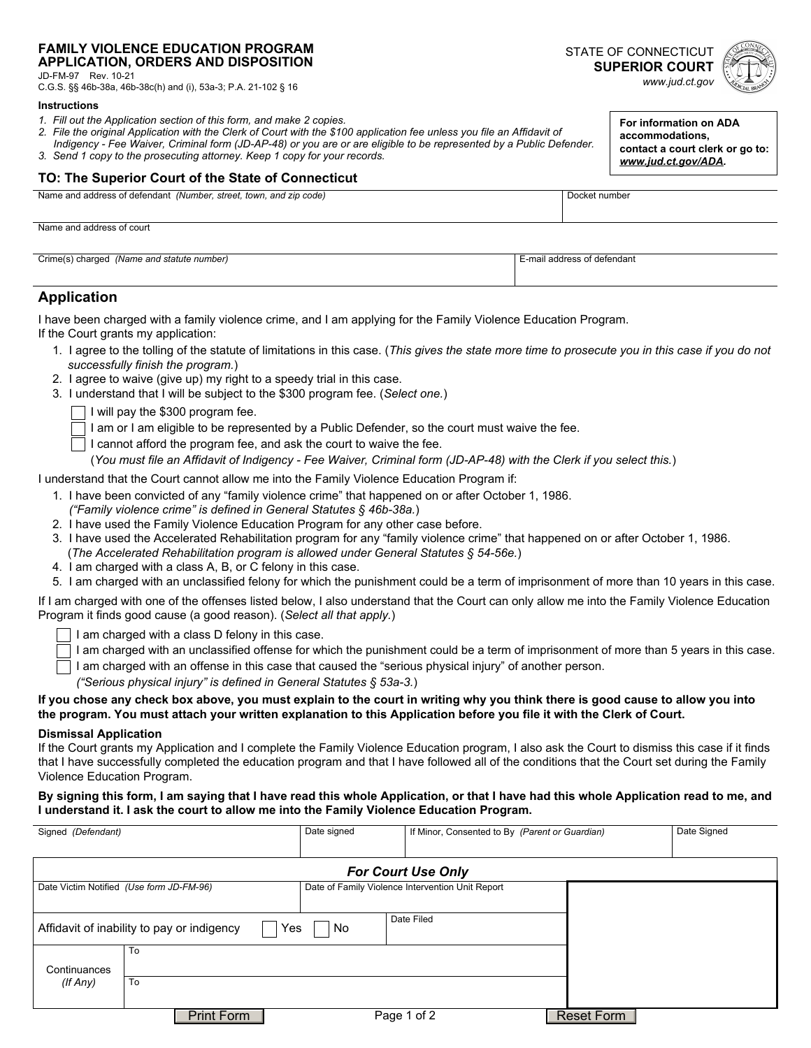#### **FAMILY VIOLENCE EDUCATION PROGRAM APPLICATION, ORDERS AND DISPOSITION**

JD-FM-97 Rev. 10-21

C.G.S. §§ 46b-38a, 46b-38c(h) and (i), 53a-3; P.A. 21-102 § 16

#### **Instructions**

- *1. Fill out the Application section of this form, and make 2 copies.*
- *2. File the original Application with the Clerk of Court with the \$100 application fee unless you file an Affidavit of Indigency - Fee Waiver, Criminal form (JD-AP-48) or you are or are eligible to be represented by a Public Defender.*
- *3. Send 1 copy to the prosecuting attorney. Keep 1 copy for your records.*

### **TO: The Superior Court of the State of Connecticut**

| Nom<br>code<br>street,<br>town<br>Number<br>∵defendan<br>ano<br>71I.<br><i>a</i> uu =>> | шшв |
|-----------------------------------------------------------------------------------------|-----|
|                                                                                         |     |

Name and address of court

| Crime(s) charged<br>(Name and statute number) | ma <sub>h</sub><br>ddress of defendant |
|-----------------------------------------------|----------------------------------------|
| $\cdot$                                       |                                        |
|                                               |                                        |
|                                               |                                        |

## **Application**

I have been charged with a family violence crime, and I am applying for the Family Violence Education Program.

If the Court grants my application:

- 1. I agree to the tolling of the statute of limitations in this case. (*This gives the state more time to prosecute you in this case if you do not successfully finish the program.*)
- 2. I agree to waive (give up) my right to a speedy trial in this case.
- 3. I understand that I will be subject to the \$300 program fee. (*Select one.*)
	- I will pay the \$300 program fee.
	- $\Box$  I am or I am eligible to be represented by a Public Defender, so the court must waive the fee.
	- I cannot afford the program fee, and ask the court to waive the fee.

(*You must file an Affidavit of Indigency - Fee Waiver, Criminal form (JD-AP-48) with the Clerk if you select this.*)

I understand that the Court cannot allow me into the Family Violence Education Program if:

- 1. I have been convicted of any "family violence crime" that happened on or after October 1, 1986.
- *("Family violence crime" is defined in General Statutes § 46b-38a.*)
- 2. I have used the Family Violence Education Program for any other case before.
- 3. I have used the Accelerated Rehabilitation program for any "family violence crime" that happened on or after October 1, 1986. (*The Accelerated Rehabilitation program is allowed under General Statutes § 54-56e.*)
- 4. I am charged with a class A, B, or C felony in this case.
- 5. I am charged with an unclassified felony for which the punishment could be a term of imprisonment of more than 10 years in this case.

If I am charged with one of the offenses listed below, I also understand that the Court can only allow me into the Family Violence Education Program it finds good cause (a good reason). (*Select all that apply.*)

- $\overline{\phantom{a}}$  I am charged with a class D felony in this case.
- I am charged with an unclassified offense for which the punishment could be a term of imprisonment of more than 5 years in this case.
- I am charged with an offense in this case that caused the "serious physical injury" of another person.

*("Serious physical injury" is defined in General Statutes § 53a-3.*)

### **If you chose any check box above, you must explain to the court in writing why you think there is good cause to allow you into the program. You must attach your written explanation to this Application before you file it with the Clerk of Court.**

### **Dismissal Application**

If the Court grants my Application and I complete the Family Violence Education program, I also ask the Court to dismiss this case if it finds that I have successfully completed the education program and that I have followed all of the conditions that the Court set during the Family Violence Education Program.

### **By signing this form, I am saying that I have read this whole Application, or that I have had this whole Application read to me, and I understand it. I ask the court to allow me into the Family Violence Education Program.**

| Signed (Defendant)                                                                           |                           | Date signed | If Minor, Consented to By (Parent or Guardian) |            | Date Signed |
|----------------------------------------------------------------------------------------------|---------------------------|-------------|------------------------------------------------|------------|-------------|
|                                                                                              |                           |             |                                                |            |             |
|                                                                                              | <b>For Court Use Only</b> |             |                                                |            |             |
| Date Victim Notified (Use form JD-FM-96)<br>Date of Family Violence Intervention Unit Report |                           |             |                                                |            |             |
|                                                                                              |                           |             |                                                |            |             |
| Date Filed<br>Affidavit of inability to pay or indigency<br>No<br>Yes                        |                           |             |                                                |            |             |
|                                                                                              | To                        |             |                                                |            |             |
| Continuances                                                                                 |                           |             |                                                |            |             |
| (If Any)                                                                                     | To                        |             |                                                |            |             |
|                                                                                              |                           |             |                                                |            |             |
|                                                                                              | <b>Print Form</b>         |             | Page 1 of 2                                    | Reset Form |             |

STATE OF CONNECTICUT **SUPERIOR COURT**  *www.jud.ct.gov*

> **For information on ADA accommodations,**

**contact a court clerk or go to:**  *[www.jud.ct.gov/ADA](http://www.jud.ct.gov/ADA).*